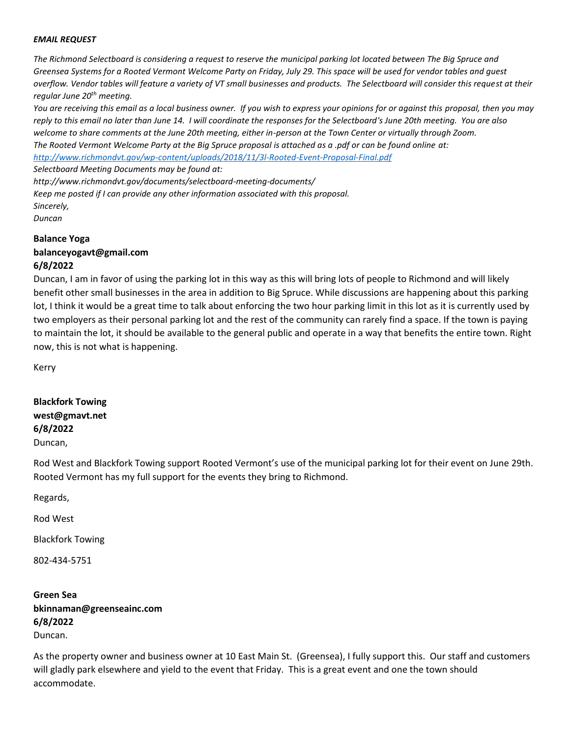#### *EMAIL REQUEST*

*The Richmond Selectboard is considering a request to reserve the municipal parking lot located between The Big Spruce and Greensea Systems for a Rooted Vermont Welcome Party on Friday, July 29. This space will be used for vendor tables and guest overflow. Vendor tables will feature a variety of VT small businesses and products. The Selectboard will consider this request at their regular June 20th meeting.*

*You are receiving this email as a local business owner. If you wish to express your opinions for or against this proposal, then you may reply to this email no later than June 14. I will coordinate the responses for the Selectboard's June 20th meeting. You are also welcome to share comments at the June 20th meeting, either in-person at the Town Center or virtually through Zoom. The Rooted Vermont Welcome Party at the Big Spruce proposal is attached as a .pdf or can be found online at:*

*<http://www.richmondvt.gov/wp-content/uploads/2018/11/3l-Rooted-Event-Proposal-Final.pdf>*

*Selectboard Meeting Documents may be found at:*

*http://www.richmondvt.gov/documents/selectboard-meeting-documents/ Keep me posted if I can provide any other information associated with this proposal. Sincerely, Duncan*

**Balance Yoga balanceyogavt@gmail.com**

### **6/8/2022**

Duncan, I am in favor of using the parking lot in this way as this will bring lots of people to Richmond and will likely benefit other small businesses in the area in addition to Big Spruce. While discussions are happening about this parking lot, I think it would be a great time to talk about enforcing the two hour parking limit in this lot as it is currently used by two employers as their personal parking lot and the rest of the community can rarely find a space. If the town is paying to maintain the lot, it should be available to the general public and operate in a way that benefits the entire town. Right now, this is not what is happening.

Kerry

**Blackfork Towing west@gmavt.net 6/8/2022** Duncan,

Rod West and Blackfork Towing support Rooted Vermont's use of the municipal parking lot for their event on June 29th. Rooted Vermont has my full support for the events they bring to Richmond.

Regards,

Rod West

Blackfork Towing

802-434-5751

# **Green Sea bkinnaman@greenseainc.com 6/8/2022** Duncan.

As the property owner and business owner at 10 East Main St. (Greensea), I fully support this. Our staff and customers will gladly park elsewhere and yield to the event that Friday. This is a great event and one the town should accommodate.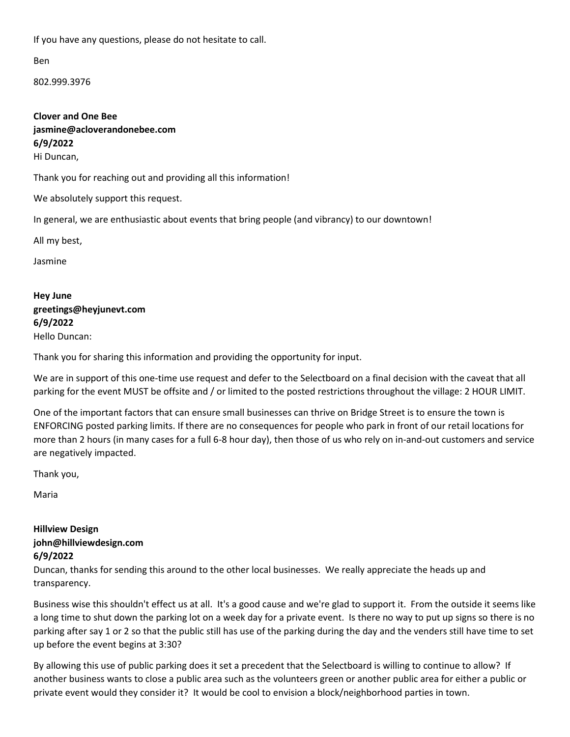If you have any questions, please do not hesitate to call.

Ben

802.999.3976

**Clover and One Bee jasmine@acloverandonebee.com 6/9/2022** Hi Duncan,

Thank you for reaching out and providing all this information!

We absolutely support this request.

In general, we are enthusiastic about events that bring people (and vibrancy) to our downtown!

All my best,

Jasmine

**Hey June greetings@heyjunevt.com 6/9/2022** Hello Duncan:

Thank you for sharing this information and providing the opportunity for input.

We are in support of this one-time use request and defer to the Selectboard on a final decision with the caveat that all parking for the event MUST be offsite and / or limited to the posted restrictions throughout the village: 2 HOUR LIMIT.

One of the important factors that can ensure small businesses can thrive on Bridge Street is to ensure the town is ENFORCING posted parking limits. If there are no consequences for people who park in front of our retail locations for more than 2 hours (in many cases for a full 6-8 hour day), then those of us who rely on in-and-out customers and service are negatively impacted.

Thank you,

Maria

## **Hillview Design john@hillviewdesign.com 6/9/2022**

Duncan, thanks for sending this around to the other local businesses. We really appreciate the heads up and transparency.

Business wise this shouldn't effect us at all. It's a good cause and we're glad to support it. From the outside it seems like a long time to shut down the parking lot on a week day for a private event. Is there no way to put up signs so there is no parking after say 1 or 2 so that the public still has use of the parking during the day and the venders still have time to set up before the event begins at 3:30?

By allowing this use of public parking does it set a precedent that the Selectboard is willing to continue to allow? If another business wants to close a public area such as the volunteers green or another public area for either a public or private event would they consider it? It would be cool to envision a block/neighborhood parties in town.